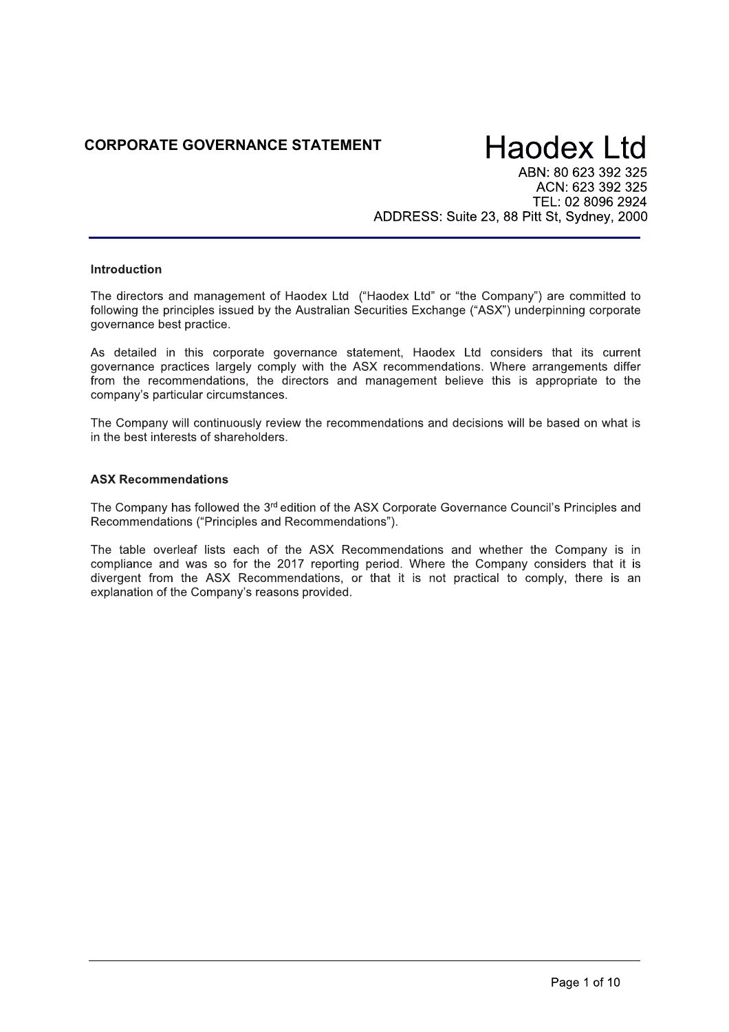## CORPORATE GOVERNANCE STATEMENT

## **Haodex Ltd**

ABN: 80 623 392 325 ACN: 623 392 325 TEL: 02 8096 2924 ADDRESS: Suite 23, 88 Pitt St, Sydney, 2000

## **Introduction**

The directors and management of Haodex Ltd ("Haodex Ltd" or "the Company") are committed to following the principles issued by the Australian Securities Exchange ("ASX") underpinning corporate governance best practice.

As detailed in this corporate governance statement, Haodex Ltd considers that its current governance practices largely comply with the ASX recommendations. Where arrangements differ from the recommendations, the directors and management believe this is appropriate to the company's particular circumstances.

The Company will continuously review the recommendations and decisions will be based on what is in the best interests of shareholders.

## **ASX Recommendations**

The Company has followed the 3<sup>rd</sup> edition of the ASX Corporate Governance Council's Principles and Recommendations ("Principles and Recommendations").

The table overleaf lists each of the ASX Recommendations and whether the Company is in compliance and was so for the 2017 reporting period. Where the Company considers that it is divergent from the ASX Recommendations, or that it is not practical to comply, there is an explanation of the Company's reasons provided.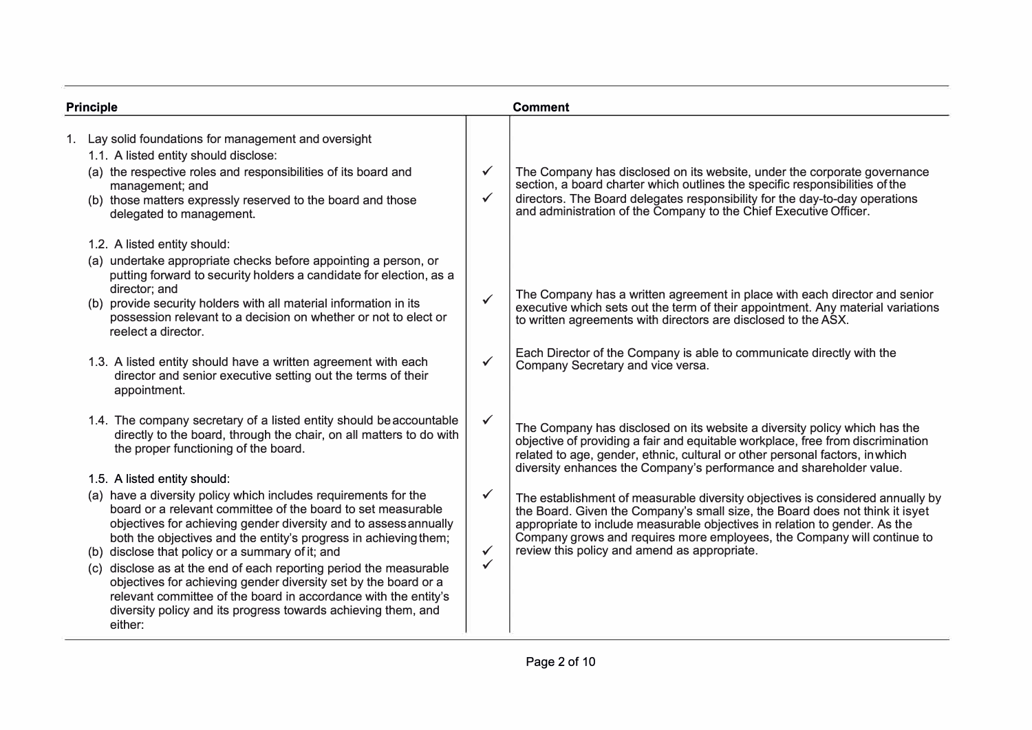| <b>Principle</b> |                                                                                                                                                                                                                                                                                                                                                                                                                                                                                                                                                   |                                              | <b>Comment</b>                                                                                                                                                                                                                                                                                                                                                                                                                                                                                                                                                                                                                                                                                 |  |
|------------------|---------------------------------------------------------------------------------------------------------------------------------------------------------------------------------------------------------------------------------------------------------------------------------------------------------------------------------------------------------------------------------------------------------------------------------------------------------------------------------------------------------------------------------------------------|----------------------------------------------|------------------------------------------------------------------------------------------------------------------------------------------------------------------------------------------------------------------------------------------------------------------------------------------------------------------------------------------------------------------------------------------------------------------------------------------------------------------------------------------------------------------------------------------------------------------------------------------------------------------------------------------------------------------------------------------------|--|
|                  | 1. Lay solid foundations for management and oversight<br>1.1. A listed entity should disclose:<br>(a) the respective roles and responsibilities of its board and<br>management; and<br>(b) those matters expressly reserved to the board and those<br>delegated to management.                                                                                                                                                                                                                                                                    | $\checkmark$<br>$\checkmark$                 | The Company has disclosed on its website, under the corporate governance<br>section, a board charter which outlines the specific responsibilities of the<br>directors. The Board delegates responsibility for the day-to-day operations and administration of the Company to the Chief Executive Officer.                                                                                                                                                                                                                                                                                                                                                                                      |  |
|                  | 1.2. A listed entity should:<br>(a) undertake appropriate checks before appointing a person, or<br>putting forward to security holders a candidate for election, as a<br>director; and<br>(b) provide security holders with all material information in its<br>possession relevant to a decision on whether or not to elect or<br>reelect a director.<br>1.3. A listed entity should have a written agreement with each<br>director and senior executive setting out the terms of their<br>appointment.                                           | $\checkmark$<br>$\checkmark$                 | The Company has a written agreement in place with each director and senior<br>executive which sets out the term of their appointment. Any material variations<br>to written agreements with directors are disclosed to the ASX.<br>Each Director of the Company is able to communicate directly with the<br>Company Secretary and vice versa.                                                                                                                                                                                                                                                                                                                                                  |  |
|                  | 1.4. The company secretary of a listed entity should be accountable<br>directly to the board, through the chair, on all matters to do with<br>the proper functioning of the board.<br>1.5. A listed entity should:<br>(a) have a diversity policy which includes requirements for the<br>board or a relevant committee of the board to set measurable<br>objectives for achieving gender diversity and to assess annually<br>both the objectives and the entity's progress in achieving them;<br>(b) disclose that policy or a summary of it; and | $\checkmark$<br>$\checkmark$<br>$\checkmark$ | The Company has disclosed on its website a diversity policy which has the<br>objective of providing a fair and equitable workplace, free from discrimination<br>related to age, gender, ethnic, cultural or other personal factors, in which<br>diversity enhances the Company's performance and shareholder value.<br>The establishment of measurable diversity objectives is considered annually by<br>the Board. Given the Company's small size, the Board does not think it isyet<br>appropriate to include measurable objectives in relation to gender. As the<br>Company grows and requires more employees, the Company will continue to<br>review this policy and amend as appropriate. |  |
|                  | (c) disclose as at the end of each reporting period the measurable<br>objectives for achieving gender diversity set by the board or a<br>relevant committee of the board in accordance with the entity's<br>diversity policy and its progress towards achieving them, and<br>either:                                                                                                                                                                                                                                                              | $\checkmark$                                 |                                                                                                                                                                                                                                                                                                                                                                                                                                                                                                                                                                                                                                                                                                |  |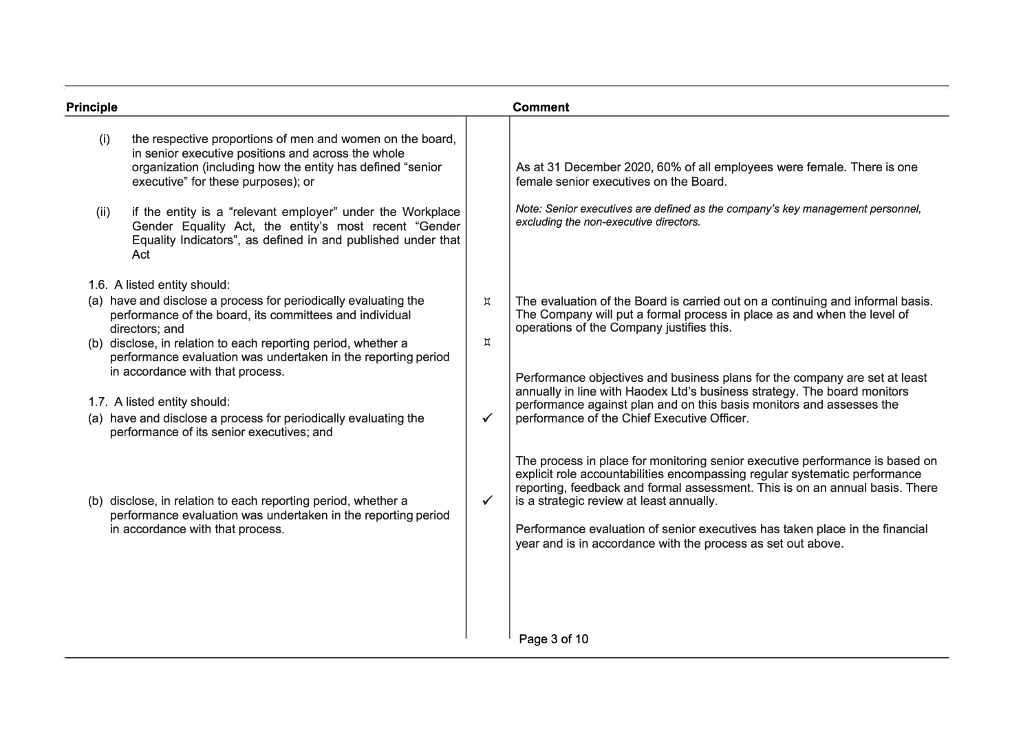| <b>Principle</b>                                                                                                                                                                                                                                                                                                                                                                                                                                                                                   |                              | <b>Comment</b>                                                                                                                                                                                                                                                                                                                                                                                                                                                                          |
|----------------------------------------------------------------------------------------------------------------------------------------------------------------------------------------------------------------------------------------------------------------------------------------------------------------------------------------------------------------------------------------------------------------------------------------------------------------------------------------------------|------------------------------|-----------------------------------------------------------------------------------------------------------------------------------------------------------------------------------------------------------------------------------------------------------------------------------------------------------------------------------------------------------------------------------------------------------------------------------------------------------------------------------------|
| the respective proportions of men and women on the board,<br>(i)<br>in senior executive positions and across the whole<br>organization (including how the entity has defined "senior<br>executive" for these purposes); or<br>if the entity is a "relevant employer" under the Workplace<br>(ii)<br>Gender Equality Act, the entity's most recent "Gender<br>Equality Indicators", as defined in and published under that<br>Act                                                                   |                              | As at 31 December 2020, 60% of all employees were female. There is one<br>female senior executives on the Board.<br>Note: Senior executives are defined as the company's key management personnel,<br>excluding the non-executive directors.                                                                                                                                                                                                                                            |
| 1.6. A listed entity should:<br>(a) have and disclose a process for periodically evaluating the<br>performance of the board, its committees and individual<br>directors; and<br>(b) disclose, in relation to each reporting period, whether a<br>performance evaluation was undertaken in the reporting period<br>in accordance with that process.<br>1.7. A listed entity should:<br>(a) have and disclose a process for periodically evaluating the<br>performance of its senior executives; and | Д<br>$\upmu$<br>$\checkmark$ | The evaluation of the Board is carried out on a continuing and informal basis.<br>The Company will put a formal process in place as and when the level of<br>operations of the Company justifies this.<br>Performance objectives and business plans for the company are set at least<br>annually in line with Haodex Ltd's business strategy. The board monitors<br>performance against plan and on this basis monitors and assesses the<br>performance of the Chief Executive Officer. |
| (b) disclose, in relation to each reporting period, whether a<br>performance evaluation was undertaken in the reporting period<br>in accordance with that process.                                                                                                                                                                                                                                                                                                                                 | $\checkmark$                 | The process in place for monitoring senior executive performance is based on<br>explicit role accountabilities encompassing regular systematic performance<br>reporting, feedback and formal assessment. This is on an annual basis. There<br>is a strategic review at least annually.<br>Performance evaluation of senior executives has taken place in the financial<br>year and is in accordance with the process as set out above.                                                  |
|                                                                                                                                                                                                                                                                                                                                                                                                                                                                                                    |                              | Page 3 of 10                                                                                                                                                                                                                                                                                                                                                                                                                                                                            |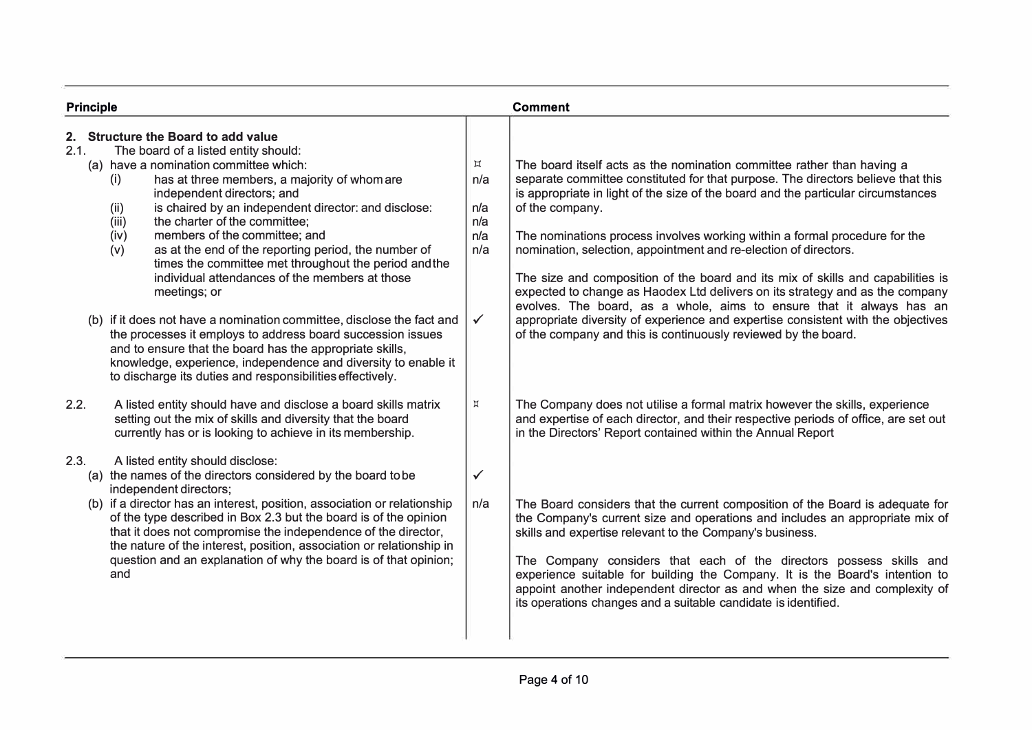| <b>Principle</b>                                                                                                                                                                                                                                                                                                                                                                                                                                                                                                                                                                                                                                                                                                                                                                                                                                                                                             |                                                                       | <b>Comment</b>                                                                                                                                                                                                                                                                                                                                                                                                                                                                                                                                                                                                                                                                                                                                                                                                        |
|--------------------------------------------------------------------------------------------------------------------------------------------------------------------------------------------------------------------------------------------------------------------------------------------------------------------------------------------------------------------------------------------------------------------------------------------------------------------------------------------------------------------------------------------------------------------------------------------------------------------------------------------------------------------------------------------------------------------------------------------------------------------------------------------------------------------------------------------------------------------------------------------------------------|-----------------------------------------------------------------------|-----------------------------------------------------------------------------------------------------------------------------------------------------------------------------------------------------------------------------------------------------------------------------------------------------------------------------------------------------------------------------------------------------------------------------------------------------------------------------------------------------------------------------------------------------------------------------------------------------------------------------------------------------------------------------------------------------------------------------------------------------------------------------------------------------------------------|
| <b>Structure the Board to add value</b><br>2.<br>2.1.<br>The board of a listed entity should:<br>(a) have a nomination committee which:<br>has at three members, a majority of whom are<br>(i)<br>independent directors; and<br>is chaired by an independent director: and disclose:<br>(ii)<br>the charter of the committee;<br>(iii)<br>members of the committee; and<br>(iv)<br>as at the end of the reporting period, the number of<br>(v)<br>times the committee met throughout the period and the<br>individual attendances of the members at those<br>meetings; or<br>(b) if it does not have a nomination committee, disclose the fact and<br>the processes it employs to address board succession issues<br>and to ensure that the board has the appropriate skills,<br>knowledge, experience, independence and diversity to enable it<br>to discharge its duties and responsibilities effectively. | $\boldsymbol{\Xi}$<br>n/a<br>n/a<br>n/a<br>n/a<br>n/a<br>$\checkmark$ | The board itself acts as the nomination committee rather than having a<br>separate committee constituted for that purpose. The directors believe that this<br>is appropriate in light of the size of the board and the particular circumstances<br>of the company.<br>The nominations process involves working within a formal procedure for the<br>nomination, selection, appointment and re-election of directors.<br>The size and composition of the board and its mix of skills and capabilities is<br>expected to change as Haodex Ltd delivers on its strategy and as the company<br>evolves. The board, as a whole, aims to ensure that it always has an<br>appropriate diversity of experience and expertise consistent with the objectives<br>of the company and this is continuously reviewed by the board. |
| 2.2.<br>A listed entity should have and disclose a board skills matrix<br>setting out the mix of skills and diversity that the board<br>currently has or is looking to achieve in its membership.                                                                                                                                                                                                                                                                                                                                                                                                                                                                                                                                                                                                                                                                                                            | Д                                                                     | The Company does not utilise a formal matrix however the skills, experience<br>and expertise of each director, and their respective periods of office, are set out<br>in the Directors' Report contained within the Annual Report                                                                                                                                                                                                                                                                                                                                                                                                                                                                                                                                                                                     |
| 2.3.<br>A listed entity should disclose:<br>(a) the names of the directors considered by the board to be<br>independent directors;<br>(b) if a director has an interest, position, association or relationship<br>of the type described in Box 2.3 but the board is of the opinion<br>that it does not compromise the independence of the director,<br>the nature of the interest, position, association or relationship in<br>question and an explanation of why the board is of that opinion;<br>and                                                                                                                                                                                                                                                                                                                                                                                                       | $\checkmark$<br>n/a                                                   | The Board considers that the current composition of the Board is adequate for<br>the Company's current size and operations and includes an appropriate mix of<br>skills and expertise relevant to the Company's business.<br>The Company considers that each of the directors possess skills and<br>experience suitable for building the Company. It is the Board's intention to<br>appoint another independent director as and when the size and complexity of<br>its operations changes and a suitable candidate is identified.                                                                                                                                                                                                                                                                                     |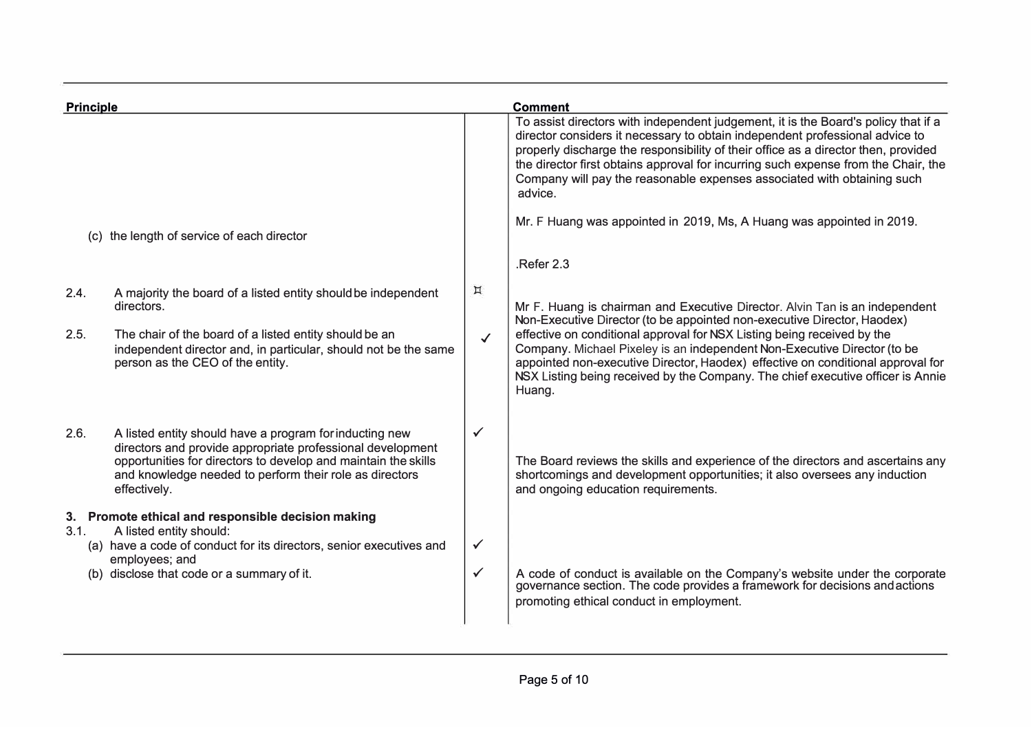| Principle |                                                                                                                                                                                                                                                                    |              | <b>Comment</b>                                                                                                                                                                                                                                                                                                                                                                                                                       |
|-----------|--------------------------------------------------------------------------------------------------------------------------------------------------------------------------------------------------------------------------------------------------------------------|--------------|--------------------------------------------------------------------------------------------------------------------------------------------------------------------------------------------------------------------------------------------------------------------------------------------------------------------------------------------------------------------------------------------------------------------------------------|
|           |                                                                                                                                                                                                                                                                    |              | To assist directors with independent judgement, it is the Board's policy that if a<br>director considers it necessary to obtain independent professional advice to<br>properly discharge the responsibility of their office as a director then, provided<br>the director first obtains approval for incurring such expense from the Chair, the<br>Company will pay the reasonable expenses associated with obtaining such<br>advice. |
|           | (c) the length of service of each director                                                                                                                                                                                                                         |              | Mr. F Huang was appointed in 2019, Ms, A Huang was appointed in 2019.                                                                                                                                                                                                                                                                                                                                                                |
|           |                                                                                                                                                                                                                                                                    |              | Refer 2.3                                                                                                                                                                                                                                                                                                                                                                                                                            |
| 2.4.      | A majority the board of a listed entity should be independent<br>directors.                                                                                                                                                                                        | $\boxtimes$  | Mr F. Huang is chairman and Executive Director. Alvin Tan is an independent<br>Non-Executive Director (to be appointed non-executive Director, Haodex)                                                                                                                                                                                                                                                                               |
| 2.5.      | The chair of the board of a listed entity should be an<br>independent director and, in particular, should not be the same<br>person as the CEO of the entity.                                                                                                      | $\checkmark$ | effective on conditional approval for NSX Listing being received by the<br>Company. Michael Pixeley is an independent Non-Executive Director (to be<br>appointed non-executive Director, Haodex) effective on conditional approval for<br>NSX Listing being received by the Company. The chief executive officer is Annie<br>Huang.                                                                                                  |
| 2.6.      | A listed entity should have a program for inducting new<br>directors and provide appropriate professional development<br>opportunities for directors to develop and maintain the skills<br>and knowledge needed to perform their role as directors<br>effectively. | $\checkmark$ | The Board reviews the skills and experience of the directors and ascertains any<br>shortcomings and development opportunities; it also oversees any induction<br>and ongoing education requirements.                                                                                                                                                                                                                                 |
| 3.1.      | 3. Promote ethical and responsible decision making<br>A listed entity should:<br>(a) have a code of conduct for its directors, senior executives and<br>employees; and                                                                                             | $\checkmark$ |                                                                                                                                                                                                                                                                                                                                                                                                                                      |
|           | (b) disclose that code or a summary of it.                                                                                                                                                                                                                         | $\checkmark$ | A code of conduct is available on the Company's website under the corporate<br>governance section. The code provides a framework for decisions and actions<br>promoting ethical conduct in employment.                                                                                                                                                                                                                               |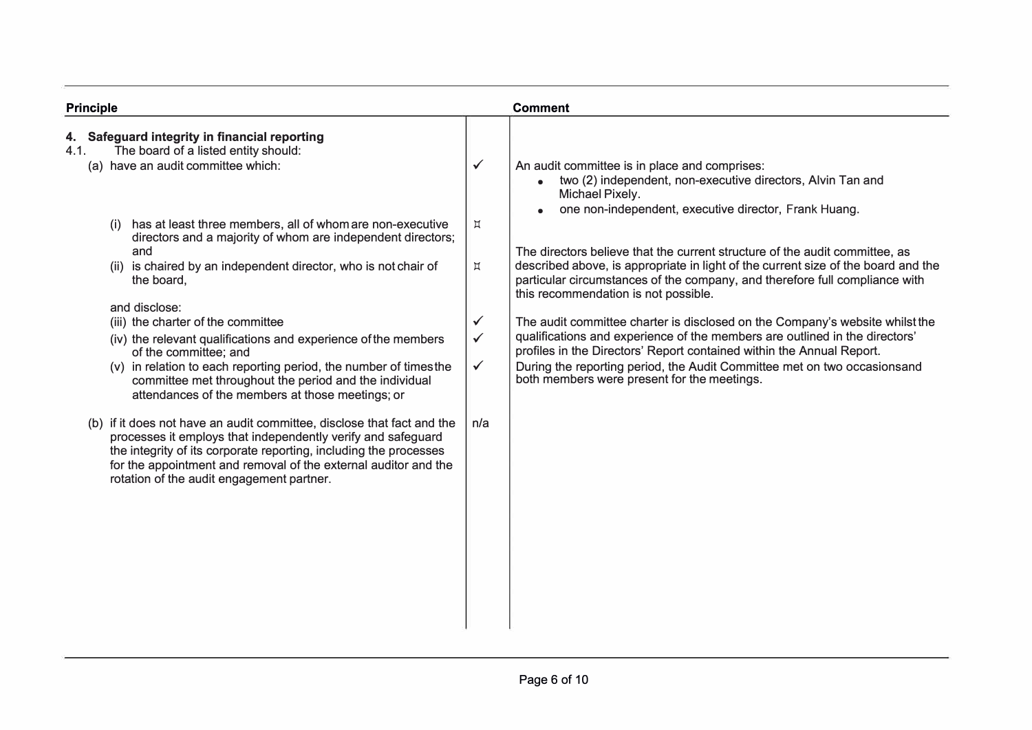| <b>Principle</b>                                                                                                                                                                                                                                                                                                            |                                              | <b>Comment</b>                                                                                                                                                                                                                                                                                                                                                  |
|-----------------------------------------------------------------------------------------------------------------------------------------------------------------------------------------------------------------------------------------------------------------------------------------------------------------------------|----------------------------------------------|-----------------------------------------------------------------------------------------------------------------------------------------------------------------------------------------------------------------------------------------------------------------------------------------------------------------------------------------------------------------|
| Safeguard integrity in financial reporting<br>4.<br>The board of a listed entity should:<br>4.1.<br>(a) have an audit committee which:                                                                                                                                                                                      | $\checkmark$                                 | An audit committee is in place and comprises:<br>two (2) independent, non-executive directors, Alvin Tan and<br>Michael Pixely.<br>one non-independent, executive director, Frank Huang.                                                                                                                                                                        |
| has at least three members, all of whom are non-executive<br>(i)<br>directors and a majority of whom are independent directors;<br>and<br>(ii) is chaired by an independent director, who is not chair of<br>the board,                                                                                                     | $\sharp$<br>$\sharp$                         | The directors believe that the current structure of the audit committee, as<br>described above, is appropriate in light of the current size of the board and the<br>particular circumstances of the company, and therefore full compliance with                                                                                                                 |
| and disclose:                                                                                                                                                                                                                                                                                                               |                                              | this recommendation is not possible.                                                                                                                                                                                                                                                                                                                            |
| (iii) the charter of the committee<br>(iv) the relevant qualifications and experience of the members<br>of the committee; and<br>(v) in relation to each reporting period, the number of times the<br>committee met throughout the period and the individual<br>attendances of the members at those meetings; or            | $\checkmark$<br>$\checkmark$<br>$\checkmark$ | The audit committee charter is disclosed on the Company's website whilst the<br>qualifications and experience of the members are outlined in the directors'<br>profiles in the Directors' Report contained within the Annual Report.<br>During the reporting period, the Audit Committee met on two occasionsand<br>both members were present for the meetings. |
| (b) if it does not have an audit committee, disclose that fact and the<br>processes it employs that independently verify and safeguard<br>the integrity of its corporate reporting, including the processes<br>for the appointment and removal of the external auditor and the<br>rotation of the audit engagement partner. | n/a                                          |                                                                                                                                                                                                                                                                                                                                                                 |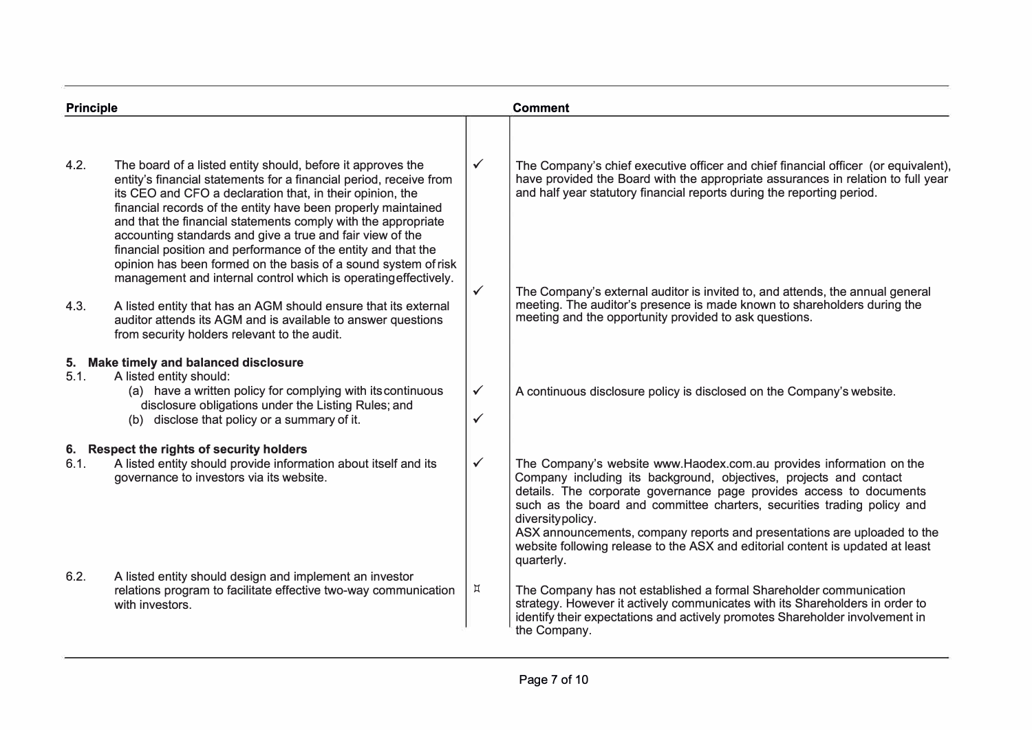| <b>Principle</b> |                                                                                                                                                                                                                                                                                                                                                                                                                                                    |                              | <b>Comment</b>                                                                                                                                                                                                                                                                                                                                                                                                                                                                              |
|------------------|----------------------------------------------------------------------------------------------------------------------------------------------------------------------------------------------------------------------------------------------------------------------------------------------------------------------------------------------------------------------------------------------------------------------------------------------------|------------------------------|---------------------------------------------------------------------------------------------------------------------------------------------------------------------------------------------------------------------------------------------------------------------------------------------------------------------------------------------------------------------------------------------------------------------------------------------------------------------------------------------|
| 4.2.             | The board of a listed entity should, before it approves the<br>entity's financial statements for a financial period, receive from<br>its CEO and CFO a declaration that, in their opinion, the<br>financial records of the entity have been properly maintained<br>and that the financial statements comply with the appropriate                                                                                                                   | $\checkmark$                 | The Company's chief executive officer and chief financial officer (or equivalent),<br>have provided the Board with the appropriate assurances in relation to full year<br>and half year statutory financial reports during the reporting period.                                                                                                                                                                                                                                            |
| 4.3.             | accounting standards and give a true and fair view of the<br>financial position and performance of the entity and that the<br>opinion has been formed on the basis of a sound system of risk<br>management and internal control which is operating effectively.<br>A listed entity that has an AGM should ensure that its external<br>auditor attends its AGM and is available to answer questions<br>from security holders relevant to the audit. | $\checkmark$                 | The Company's external auditor is invited to, and attends, the annual general<br>meeting. The auditor's presence is made known to shareholders during the<br>meeting and the opportunity provided to ask questions.                                                                                                                                                                                                                                                                         |
| 5.<br>5.1.       | <b>Make timely and balanced disclosure</b><br>A listed entity should:<br>(a) have a written policy for complying with its continuous<br>disclosure obligations under the Listing Rules; and<br>(b) disclose that policy or a summary of it.                                                                                                                                                                                                        | $\checkmark$<br>$\checkmark$ | A continuous disclosure policy is disclosed on the Company's website.                                                                                                                                                                                                                                                                                                                                                                                                                       |
| 6.1.             | 6. Respect the rights of security holders<br>A listed entity should provide information about itself and its<br>governance to investors via its website.                                                                                                                                                                                                                                                                                           | $\checkmark$                 | The Company's website www.Haodex.com.au provides information on the<br>Company including its background, objectives, projects and contact<br>details. The corporate governance page provides access to documents<br>such as the board and committee charters, securities trading policy and<br>diversitypolicy.<br>ASX announcements, company reports and presentations are uploaded to the<br>website following release to the ASX and editorial content is updated at least<br>quarterly. |
| 6.2.             | A listed entity should design and implement an investor<br>relations program to facilitate effective two-way communication<br>with investors.                                                                                                                                                                                                                                                                                                      | Д                            | The Company has not established a formal Shareholder communication<br>strategy. However it actively communicates with its Shareholders in order to<br>identify their expectations and actively promotes Shareholder involvement in<br>the Company.                                                                                                                                                                                                                                          |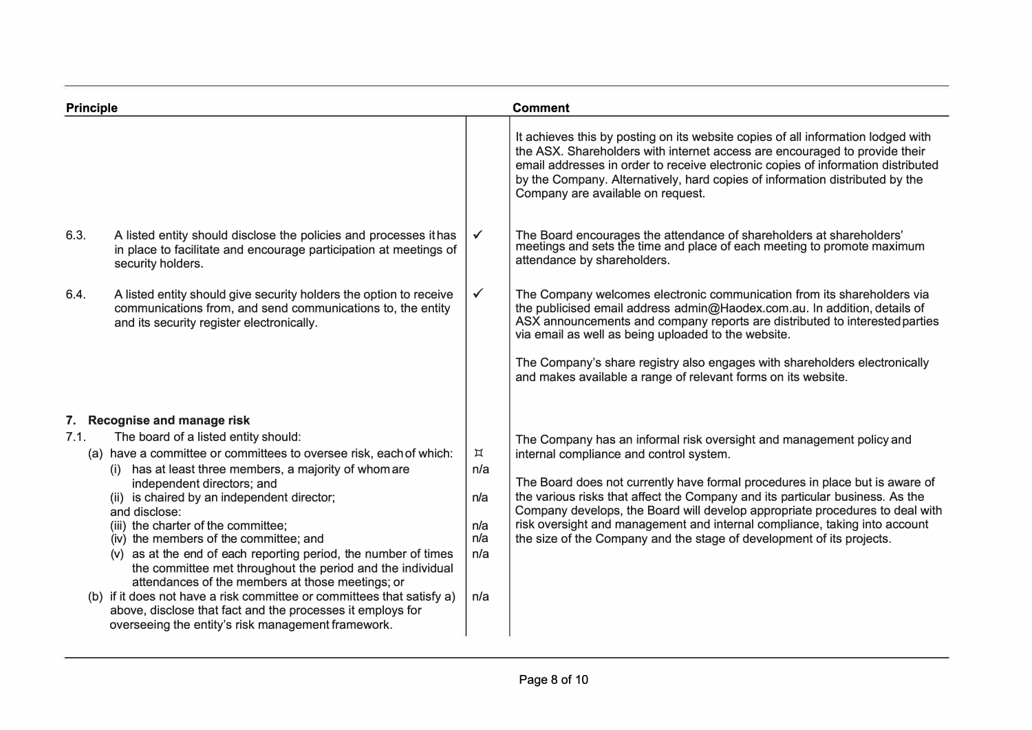| <b>Principle</b> |                                                                                                                                                                                                                                                                                                                                                                                                                                                                                                                                                                                                                                                                                                                                                                        | <b>Comment</b>                                               |                                                                                                                                                                                                                                                                                                                                                                                                                                                                                                                         |
|------------------|------------------------------------------------------------------------------------------------------------------------------------------------------------------------------------------------------------------------------------------------------------------------------------------------------------------------------------------------------------------------------------------------------------------------------------------------------------------------------------------------------------------------------------------------------------------------------------------------------------------------------------------------------------------------------------------------------------------------------------------------------------------------|--------------------------------------------------------------|-------------------------------------------------------------------------------------------------------------------------------------------------------------------------------------------------------------------------------------------------------------------------------------------------------------------------------------------------------------------------------------------------------------------------------------------------------------------------------------------------------------------------|
|                  |                                                                                                                                                                                                                                                                                                                                                                                                                                                                                                                                                                                                                                                                                                                                                                        |                                                              | It achieves this by posting on its website copies of all information lodged with<br>the ASX. Shareholders with internet access are encouraged to provide their<br>email addresses in order to receive electronic copies of information distributed<br>by the Company. Alternatively, hard copies of information distributed by the<br>Company are available on request.                                                                                                                                                 |
| 6.3.             | A listed entity should disclose the policies and processes it has<br>in place to facilitate and encourage participation at meetings of<br>security holders.                                                                                                                                                                                                                                                                                                                                                                                                                                                                                                                                                                                                            | $\checkmark$                                                 | The Board encourages the attendance of shareholders at shareholders' meetings and sets the time and place of each meeting to promote maximum<br>attendance by shareholders.                                                                                                                                                                                                                                                                                                                                             |
| 6.4.             | A listed entity should give security holders the option to receive<br>communications from, and send communications to, the entity<br>and its security register electronically.                                                                                                                                                                                                                                                                                                                                                                                                                                                                                                                                                                                         | $\checkmark$                                                 | The Company welcomes electronic communication from its shareholders via<br>the publicised email address admin@Haodex.com.au. In addition, details of<br>ASX announcements and company reports are distributed to interested parties<br>via email as well as being uploaded to the website.<br>The Company's share registry also engages with shareholders electronically<br>and makes available a range of relevant forms on its website.                                                                               |
| 7.1.             | 7. Recognise and manage risk<br>The board of a listed entity should:<br>(a) have a committee or committees to oversee risk, each of which:<br>(i) has at least three members, a majority of whom are<br>independent directors; and<br>(ii) is chaired by an independent director;<br>and disclose:<br>(iii) the charter of the committee;<br>(iv) the members of the committee; and<br>(v) as at the end of each reporting period, the number of times<br>the committee met throughout the period and the individual<br>attendances of the members at those meetings; or<br>(b) if it does not have a risk committee or committees that satisfy a)<br>above, disclose that fact and the processes it employs for<br>overseeing the entity's risk management framework. | $\boldsymbol{\Xi}$<br>n/a<br>n/a<br>n/a<br>n/a<br>n/a<br>n/a | The Company has an informal risk oversight and management policy and<br>internal compliance and control system.<br>The Board does not currently have formal procedures in place but is aware of<br>the various risks that affect the Company and its particular business. As the<br>Company develops, the Board will develop appropriate procedures to deal with<br>risk oversight and management and internal compliance, taking into account<br>the size of the Company and the stage of development of its projects. |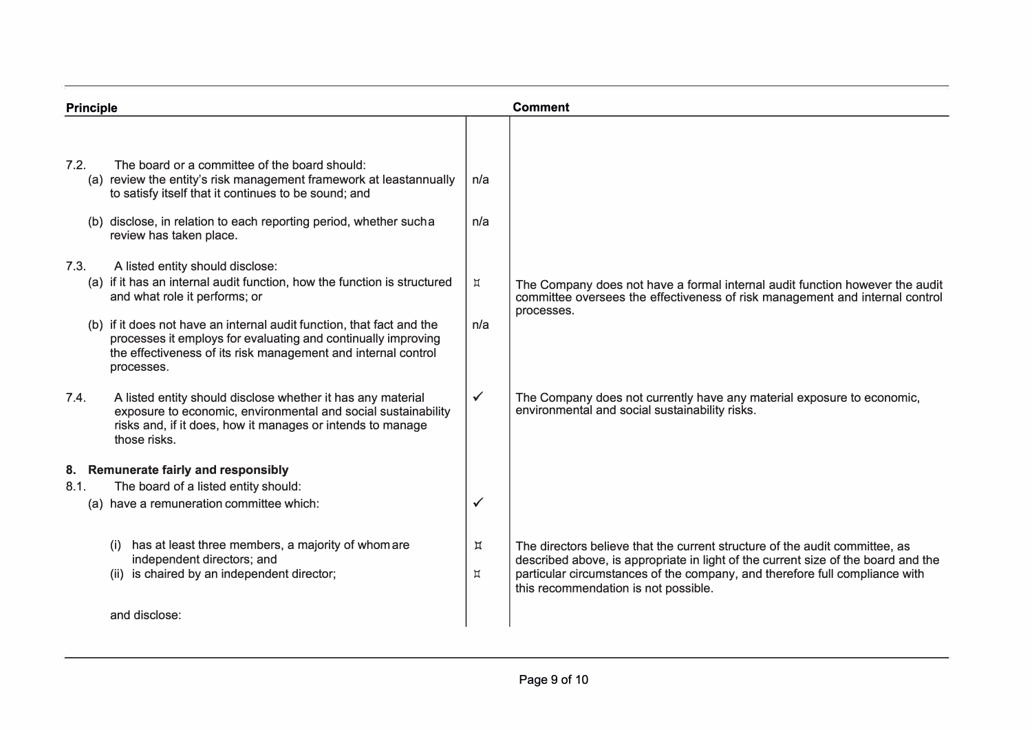| Principle |                                                                                                                                                                                                                       |                         | <b>Comment</b>                                                                                                                                                                                                                                                                          |  |
|-----------|-----------------------------------------------------------------------------------------------------------------------------------------------------------------------------------------------------------------------|-------------------------|-----------------------------------------------------------------------------------------------------------------------------------------------------------------------------------------------------------------------------------------------------------------------------------------|--|
|           |                                                                                                                                                                                                                       |                         |                                                                                                                                                                                                                                                                                         |  |
| 7.2.      | The board or a committee of the board should:<br>(a) review the entity's risk management framework at leastannually<br>to satisfy itself that it continues to be sound; and                                           | n/a                     |                                                                                                                                                                                                                                                                                         |  |
|           | (b) disclose, in relation to each reporting period, whether sucha<br>review has taken place.                                                                                                                          | n/a                     |                                                                                                                                                                                                                                                                                         |  |
| 7.3.      | A listed entity should disclose:<br>(a) if it has an internal audit function, how the function is structured<br>and what role it performs; or                                                                         | Д                       | The Company does not have a formal internal audit function however the audit<br>committee oversees the effectiveness of risk management and internal control<br>processes.                                                                                                              |  |
|           | (b) if it does not have an internal audit function, that fact and the<br>processes it employs for evaluating and continually improving<br>the effectiveness of its risk management and internal control<br>processes. | n/a                     |                                                                                                                                                                                                                                                                                         |  |
| 7.4.      | A listed entity should disclose whether it has any material<br>exposure to economic, environmental and social sustainability<br>risks and, if it does, how it manages or intends to manage<br>those risks.            | $\checkmark$            | The Company does not currently have any material exposure to economic,<br>environmental and social sustainability risks.                                                                                                                                                                |  |
|           | 8. Remunerate fairly and responsibly                                                                                                                                                                                  |                         |                                                                                                                                                                                                                                                                                         |  |
| 8.1.      | The board of a listed entity should:                                                                                                                                                                                  |                         |                                                                                                                                                                                                                                                                                         |  |
|           | (a) have a remuneration committee which:                                                                                                                                                                              | $\checkmark$            |                                                                                                                                                                                                                                                                                         |  |
|           | has at least three members, a majority of whom are<br>independent directors; and<br>(ii) is chaired by an independent director;                                                                                       | Д<br>$\boldsymbol{\Xi}$ | The directors believe that the current structure of the audit committee, as<br>described above, is appropriate in light of the current size of the board and the<br>particular circumstances of the company, and therefore full compliance with<br>this recommendation is not possible. |  |
|           | and disclose:                                                                                                                                                                                                         |                         |                                                                                                                                                                                                                                                                                         |  |